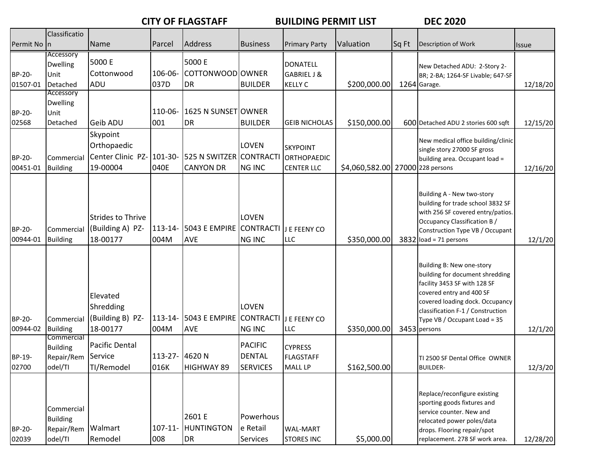|                    |                                                                |                                                                                         |                        | <b>CITY OF FLAGSTAFF</b>                                    |                                                    | <b>BUILDING PERMIT LIST</b>                           |                                  |       | <b>DEC 2020</b>                                                                                                                                                                                                                                  |              |
|--------------------|----------------------------------------------------------------|-----------------------------------------------------------------------------------------|------------------------|-------------------------------------------------------------|----------------------------------------------------|-------------------------------------------------------|----------------------------------|-------|--------------------------------------------------------------------------------------------------------------------------------------------------------------------------------------------------------------------------------------------------|--------------|
| Permit No In       | Classificatio                                                  | Name                                                                                    | Parcel                 | Address                                                     | <b>Business</b>                                    | <b>Primary Party</b>                                  | Valuation                        | Sq Ft | Description of Work                                                                                                                                                                                                                              | <b>Issue</b> |
| BP-20-<br>01507-01 | Accessory<br><b>Dwelling</b><br>Unit<br>Detached               | 5000 E<br>Cottonwood<br>ADU                                                             | 106-06-<br>037D        | 5000 E<br>COTTONWOOD OWNER<br><b>DR</b>                     | <b>BUILDER</b>                                     | <b>DONATELL</b><br>GABRIEL J &<br><b>KELLY C</b>      | \$200,000.00                     |       | New Detached ADU: 2-Story 2-<br>BR; 2-BA; 1264-SF Livable; 647-SF<br>1264 Garage.                                                                                                                                                                | 12/18/20     |
| BP-20-<br>02568    | Accessory<br><b>Dwelling</b><br>Unit<br>Detached               | Geib ADU                                                                                | 001                    | 110-06- 1625 N SUNSETOWNER<br><b>DR</b>                     | <b>BUILDER</b>                                     | <b>GEIB NICHOLAS</b>                                  | \$150,000.00                     |       | 600 Detached ADU 2 stories 600 sqft                                                                                                                                                                                                              | 12/15/20     |
| BP-20-<br>00451-01 | Commercial<br><b>Building</b>                                  | Skypoint<br>Orthopaedic<br>Center Clinic PZ- 101-30- 525 N SWITZER CONTRACT<br>19-00004 | 040E                   | <b>CANYON DR</b>                                            | LOVEN<br><b>NG INC</b>                             | <b>SKYPOINT</b><br>ORTHOPAEDIC<br><b>CENTER LLC</b>   | \$4,060,582.00 27000 228 persons |       | New medical office building/clinic<br>single story 27000 SF gross<br>building area. Occupant load =                                                                                                                                              | 12/16/20     |
| BP-20-<br>00944-01 | Commercial<br><b>Building</b>                                  | <b>Strides to Thrive</b><br>(Building A) PZ-<br>18-00177                                | 004M                   | 113-14- 5043 E EMPIRE CONTRACTI<br><b>AVE</b>               | <b>LOVEN</b><br><b>NG INC</b>                      | J E FEENY CO<br><b>LLC</b>                            | \$350,000.00                     |       | Building A - New two-story<br>building for trade school 3832 SF<br>with 256 SF covered entry/patios.<br>Occupancy Classification B /<br>Construction Type VB / Occupant<br>$3832$ load = 71 persons                                              | 12/1/20      |
| BP-20-<br>00944-02 | Commercial<br><b>Building</b>                                  | Elevated<br>Shredding<br>(Building B) PZ-<br>18-00177                                   | 004M                   | 113-14- 5043 E EMPIRE CONTRACTI JJ E FEENY CO<br><b>AVE</b> | <b>LOVEN</b><br><b>NG INC</b>                      | <b>LLC</b>                                            | \$350,000.00                     |       | Building B: New one-story<br>building for document shredding<br>facility 3453 SF with 128 SF<br>covered entry and 400 SF<br>covered loading dock. Occupancy<br>classification F-1 / Construction<br>Type VB / Occupant Load = 35<br>3453 persons | 12/1/20      |
| BP-19-<br>02700    | Commercial<br><b>Building</b><br>Repair/Rem Service<br>odel/TI | <b>Pacific Dental</b><br>TI/Remodel                                                     | 113-27- 4620 N<br>016K | <b>HIGHWAY 89</b>                                           | <b>PACIFIC</b><br><b>DENTAL</b><br><b>SERVICES</b> | <b>CYPRESS</b><br><b>IFLAGSTAFF</b><br><b>MALL LP</b> | \$162,500.00                     |       | TI 2500 SF Dental Office OWNER<br><b>BUILDER-</b>                                                                                                                                                                                                | 12/3/20      |
| BP-20-<br>02039    | Commercial<br><b>Building</b><br>Repair/Rem<br>odel/Tl         | Walmart<br>Remodel                                                                      | $107 - 11$<br>008      | 2601 E<br>HUNTINGTON<br>DR                                  | Powerhous<br>e Retail<br>Services                  | <b>WAL-MART</b><br><b>STORES INC</b>                  | \$5,000.00                       |       | Replace/reconfigure existing<br>sporting goods fixtures and<br>service counter. New and<br>relocated power poles/data<br>drops. Flooring repair/spot<br>replacement. 278 SF work area.                                                           | 12/28/20     |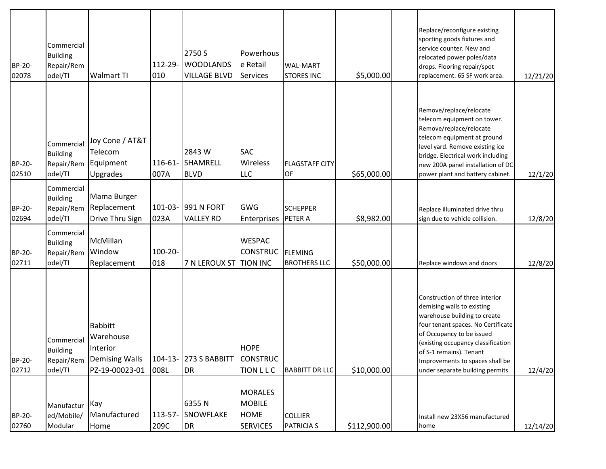| BP-20-<br>02078 | Commercial<br><b>Building</b><br>Repair/Rem<br>odel/TI | <b>Walmart TI</b>                                                           | 112-29-<br>010  | 2750 S<br><b>WOODLANDS</b><br><b>VILLAGE BLVD</b> | Powerhous<br>e Retail<br><b>Services</b>                          | <b>WAL-MART</b><br><b>STORES INC</b> | \$5,000.00   | Replace/reconfigure existing<br>sporting goods fixtures and<br>service counter. New and<br>relocated power poles/data<br>drops. Flooring repair/spot<br>replacement. 65 SF work area.                                                                                                                   | 12/21/20 |
|-----------------|--------------------------------------------------------|-----------------------------------------------------------------------------|-----------------|---------------------------------------------------|-------------------------------------------------------------------|--------------------------------------|--------------|---------------------------------------------------------------------------------------------------------------------------------------------------------------------------------------------------------------------------------------------------------------------------------------------------------|----------|
| BP-20-<br>02510 | Commercial<br>Building<br>Repair/Rem<br>odel/TI        | Joy Cone / AT&T<br>Telecom<br>Equipment<br><b>Upgrades</b>                  | 116-61-<br>007A | 2843W<br>SHAMRELL<br><b>BLVD</b>                  | <b>SAC</b><br>Wireless<br><b>LLC</b>                              | <b>FLAGSTAFF CITY</b><br>OF          | \$65,000.00  | Remove/replace/relocate<br>telecom equipment on tower.<br>Remove/replace/relocate<br>telecom equipment at ground<br>level yard. Remove existing ice<br>bridge. Electrical work including<br>new 200A panel installation of DC<br>power plant and battery cabinet.                                       | 12/1/20  |
| BP-20-<br>02694 | Commercial<br>Building<br>Repair/Rem<br>odel/Tl        | Mama Burger<br>Replacement<br>Drive Thru Sign                               | 101-03-<br>023A | <b>991 N FORT</b><br><b>VALLEY RD</b>             | GWG<br>Enterprises                                                | <b>SCHEPPER</b><br>PETER A           | \$8,982.00   | Replace illuminated drive thru<br>sign due to vehicle collision.                                                                                                                                                                                                                                        | 12/8/20  |
| BP-20-<br>02711 | Commercial<br>Building<br>Repair/Rem<br>odel/TI        | McMillan<br>Window<br>Replacement                                           | 100-20-<br>018  | 7 N LEROUX ST                                     | <b>WESPAC</b><br><b>CONSTRUC</b><br><b>TION INC</b>               | FLEMING<br><b>BROTHERS LLC</b>       | \$50,000.00  | Replace windows and doors                                                                                                                                                                                                                                                                               | 12/8/20  |
| BP-20-<br>02712 | Commercial<br><b>Building</b><br>Repair/Rem<br>odel/TI | <b>Babbitt</b><br>Warehouse<br>Interior<br>Demising Walls<br>PZ-19-00023-01 | 008L            | 104-13- 273 S BABBITT<br><b>DR</b>                | <b>HOPE</b><br>CONSTRUC<br><b>TION LLC</b>                        | <b>BABBITT DR LLC</b>                | \$10,000.00  | Construction of three interior<br>demising walls to existing<br>warehouse building to create<br>four tenant spaces. No Certificate<br>of Occupancy to be issued<br>(existing occupancy classification<br>of S-1 remains). Tenant<br>Improvements to spaces shall be<br>under separate building permits. | 12/4/20  |
| BP-20-<br>02760 | Manufactur<br>ed/Mobile/<br>Modular                    | Kay<br>Manufactured<br>Home                                                 | 113-57-<br>209C | 6355N<br>SNOWFLAKE<br>DR                          | <b>MORALES</b><br><b>MOBILE</b><br><b>HOME</b><br><b>SERVICES</b> | <b>COLLIER</b><br><b>PATRICIA S</b>  | \$112,900.00 | Install new 23X56 manufactured<br>home                                                                                                                                                                                                                                                                  | 12/14/20 |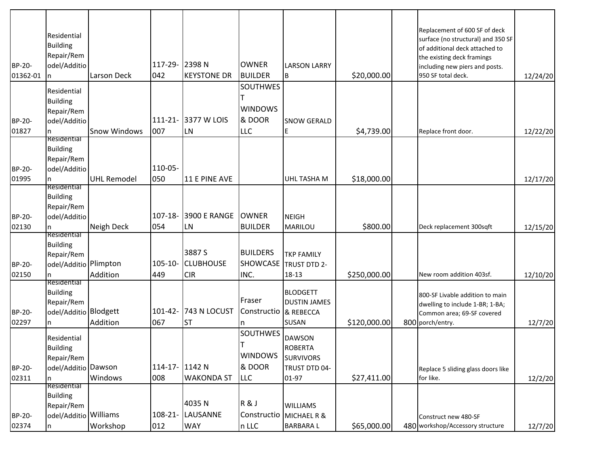| BP-20-          | Residential<br>Building<br>Repair/Rem<br>odel/Additio                    |                     | 117-29-             | 2398N                            | <b>OWNER</b>                                       | <b>LARSON LARRY</b>                                                           |              | Replacement of 600 SF of deck<br>surface (no structural) and 350 SF<br>of additional deck attached to<br>the existing deck framings<br>including new piers and posts. |          |
|-----------------|--------------------------------------------------------------------------|---------------------|---------------------|----------------------------------|----------------------------------------------------|-------------------------------------------------------------------------------|--------------|-----------------------------------------------------------------------------------------------------------------------------------------------------------------------|----------|
| 01362-01        | In.                                                                      | Larson Deck         | 042                 | <b>KEYSTONE DR</b>               | <b>BUILDER</b><br>SOUTHWES                         | B                                                                             | \$20,000.00  | 950 SF total deck.                                                                                                                                                    | 12/24/20 |
| <b>BP-20-</b>   | Residential<br>Building<br>Repair/Rem<br>odel/Additio                    |                     | $111 - 21 -$        | 3377 W LOIS                      | <b>WINDOWS</b><br>& DOOR                           | <b>SNOW GERALD</b>                                                            |              |                                                                                                                                                                       |          |
| 01827           | In.<br>Residential                                                       | <b>Snow Windows</b> | 007                 | LN.                              | LLC                                                | E                                                                             | \$4,739.00   | Replace front door.                                                                                                                                                   | 12/22/20 |
| BP-20-          | <b>Building</b><br>Repair/Rem<br>odel/Additio                            |                     | 110-05-             |                                  |                                                    |                                                                               |              |                                                                                                                                                                       |          |
| 01995           | n<br>Residential                                                         | <b>UHL Remodel</b>  | 050                 | <b>11 E PINE AVE</b>             |                                                    | <b>UHL TASHA M</b>                                                            | \$18,000.00  |                                                                                                                                                                       | 12/17/20 |
| BP-20-<br>02130 | <b>Building</b><br>Repair/Rem<br>odel/Additio<br>n.                      | Neigh Deck          | $107 - 18 -$<br>054 | <b>3900 E RANGE</b><br><b>LN</b> | <b>OWNER</b><br><b>BUILDER</b>                     | NEIGH<br><b>MARILOU</b>                                                       | \$800.00     | Deck replacement 300sqft                                                                                                                                              | 12/15/20 |
| BP-20-          | Residential<br><b>Building</b><br>Repair/Rem<br>odel/Additio Plimpton    |                     | 105-10-             | 3887 S<br><b>CLUBHOUSE</b>       | <b>BUILDERS</b><br><b>SHOWCASE</b>                 | <b>TKP FAMILY</b><br>TRUST DTD 2-                                             |              |                                                                                                                                                                       |          |
| 02150           | In.                                                                      | Addition            | 449                 | <b>CIR</b>                       | INC.                                               | 18-13                                                                         | \$250,000.00 | New room addition 403sf.                                                                                                                                              | 12/10/20 |
| BP-20-<br>02297 | Residential<br>Building<br>Repair/Rem<br>odel/Additio Blodgett<br>n      | Addition            | $101 - 42 -$<br>067 | 743 N LOCUST<br> ST              | Fraser<br>Constructio<br>n                         | <b>BLODGETT</b><br><b>DUSTIN JAMES</b><br>& REBECCA<br><b>SUSAN</b>           | \$120,000.00 | 800-SF Livable addition to main<br>dwelling to include 1-BR; 1-BA;<br>Common area; 69-SF covered<br>800 porch/entry.                                                  | 12/7/20  |
| BP-20-<br>02311 | Residential<br><b>Building</b><br>Repair/Rem<br>odel/Additio Dawson<br>n | Windows             | $114 - 17$<br>008   | 1142 N<br><b>WAKONDA ST</b>      | SOUTHWES<br><b>WINDOWS</b><br>& DOOR<br><b>LLC</b> | <b>DAWSON</b><br><b>ROBERTA</b><br><b>SURVIVORS</b><br>TRUST DTD 04-<br>01-97 | \$27,411.00  | Replace 5 sliding glass doors like<br>for like.                                                                                                                       | 12/2/20  |
| BP-20-<br>02374 | Residential<br>Building<br>Repair/Rem<br>odel/Additio Williams<br>In.    | Workshop            | $108 - 21 -$<br>012 | 4035N<br>LAUSANNE<br><b>WAY</b>  | R&J<br>Constructio<br>n LLC                        | <b>WILLIAMS</b><br>MICHAEL R &<br><b>BARBARAL</b>                             | \$65,000.00  | Construct new 480-SF<br>480 workshop/Accessory structure                                                                                                              | 12/7/20  |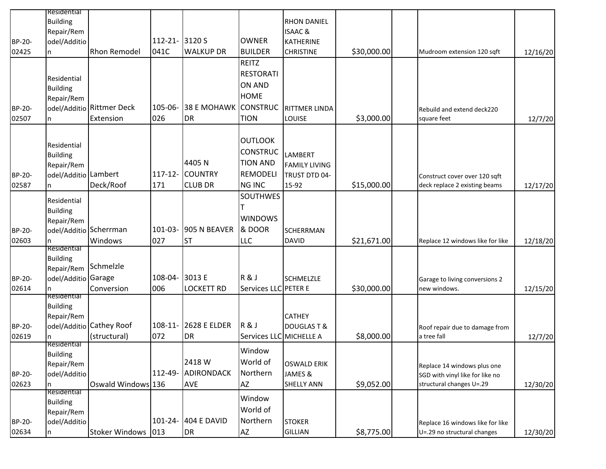|        | Residential                   |                           |                |                      |                         |                      |             |                                                                |          |
|--------|-------------------------------|---------------------------|----------------|----------------------|-------------------------|----------------------|-------------|----------------------------------------------------------------|----------|
|        | <b>Building</b>               |                           |                |                      |                         | <b>RHON DANIEL</b>   |             |                                                                |          |
|        | Repair/Rem                    |                           |                |                      |                         | <b>ISAAC&amp;</b>    |             |                                                                |          |
| BP-20- | odel/Additio                  |                           | 112-21- 3120 S |                      | <b>OWNER</b>            | <b>KATHERINE</b>     |             |                                                                |          |
| 02425  | n                             | <b>Rhon Remodel</b>       | 041C           | <b>WALKUP DR</b>     | <b>BUILDER</b>          | <b>CHRISTINE</b>     | \$30,000.00 | Mudroom extension 120 sqft                                     | 12/16/20 |
|        |                               |                           |                |                      | <b>REITZ</b>            |                      |             |                                                                |          |
|        |                               |                           |                |                      | <b>RESTORATI</b>        |                      |             |                                                                |          |
|        | Residential                   |                           |                |                      | <b>ON AND</b>           |                      |             |                                                                |          |
|        | <b>Building</b>               |                           |                |                      |                         |                      |             |                                                                |          |
|        | Repair/Rem                    |                           |                |                      | <b>HOME</b>             |                      |             |                                                                |          |
| BP-20- |                               | odel/Additio Rittmer Deck | 105-06-        | 38 E MOHAWK CONSTRUC |                         | <b>RITTMER LINDA</b> |             | Rebuild and extend deck220                                     |          |
| 02507  | n                             | Extension                 | 026            | <b>DR</b>            | <b>TION</b>             | LOUISE               | \$3,000.00  | square feet                                                    | 12/7/20  |
|        |                               |                           |                |                      |                         |                      |             |                                                                |          |
|        | Residential                   |                           |                |                      | <b>OUTLOOK</b>          |                      |             |                                                                |          |
|        | <b>Building</b>               |                           |                |                      | <b>CONSTRUC</b>         | LAMBERT              |             |                                                                |          |
|        | Repair/Rem                    |                           |                | 4405N                | <b>TION AND</b>         | <b>FAMILY LIVING</b> |             |                                                                |          |
| BP-20- | odel/Additio Lambert          |                           | 117-12-        | <b>COUNTRY</b>       | <b>REMODELI</b>         | TRUST DTD 04-        |             | Construct cover over 120 sqft                                  |          |
| 02587  | n                             | Deck/Roof                 | 171            | <b>CLUB DR</b>       | <b>NG INC</b>           | 15-92                | \$15,000.00 | deck replace 2 existing beams                                  | 12/17/20 |
|        | Residential                   |                           |                |                      | <b>SOUTHWES</b>         |                      |             |                                                                |          |
|        |                               |                           |                |                      |                         |                      |             |                                                                |          |
|        | <b>Building</b><br>Repair/Rem |                           |                |                      | <b>WINDOWS</b>          |                      |             |                                                                |          |
| BP-20- |                               | odel/Additio Scherrman    | 101-03-        | 905 N BEAVER         | & DOOR                  | <b>SCHERRMAN</b>     |             |                                                                |          |
| 02603  | n.                            | Windows                   | 027            | <b>S</b> T           | LLC                     | <b>DAVID</b>         | \$21,671.00 | Replace 12 windows like for like                               | 12/18/20 |
|        | Residential                   |                           |                |                      |                         |                      |             |                                                                |          |
|        | <b>Building</b>               |                           |                |                      |                         |                      |             |                                                                |          |
|        | Repair/Rem                    | Schmelzle                 |                |                      |                         |                      |             |                                                                |          |
| BP-20- | odel/Additio Garage           |                           | 108-04-        | 3013 E               | <b>R&amp;J</b>          | <b>SCHMELZLE</b>     |             | Garage to living conversions 2                                 |          |
| 02614  | n                             | Conversion                | 006            | <b>LOCKETT RD</b>    | Services LLC PETER E    |                      | \$30,000.00 | new windows.                                                   | 12/15/20 |
|        | Residential                   |                           |                |                      |                         |                      |             |                                                                |          |
|        | <b>Building</b>               |                           |                |                      |                         |                      |             |                                                                |          |
|        | Repair/Rem                    |                           |                |                      |                         | CATHEY               |             |                                                                |          |
| BP-20- |                               | odel/Additio Cathey Roof  | $108 - 11$     | <b>2628 E ELDER</b>  | <b>R&amp;J</b>          | <b>DOUGLAST&amp;</b> |             | Roof repair due to damage from                                 |          |
| 02619  | n<br>Residential              | (structural)              | 072            | <b>DR</b>            | Services LLC MICHELLE A |                      | \$8,000.00  | a tree fall                                                    | 12/7/20  |
|        | <b>Building</b>               |                           |                |                      | Window                  |                      |             |                                                                |          |
|        | Repair/Rem                    |                           |                | 2418W                | World of                | <b>OSWALD ERIK</b>   |             |                                                                |          |
| BP-20- | odel/Additio                  |                           | 112-49-        | ADIRONDACK           | Northern                | JAMES &              |             | Replace 14 windows plus one<br>SGD with vinyl like for like no |          |
| 02623  | n                             | Oswald Windows 136        |                | <b>AVE</b>           | AZ                      | <b>SHELLY ANN</b>    | \$9,052.00  | structural changes U=.29                                       | 12/30/20 |
|        | Residential                   |                           |                |                      |                         |                      |             |                                                                |          |
|        | <b>Building</b>               |                           |                |                      | Window                  |                      |             |                                                                |          |
|        | Repair/Rem                    |                           |                |                      | World of                |                      |             |                                                                |          |
| BP-20- | odel/Additio                  |                           | $101 - 24 -$   | 404 E DAVID          | Northern                | <b>STOKER</b>        |             | Replace 16 windows like for like                               |          |
| 02634  | n                             | Stoker Windows   013      |                | DR.                  | AZ                      | <b>GILLIAN</b>       | \$8,775.00  | U=.29 no structural changes                                    | 12/30/20 |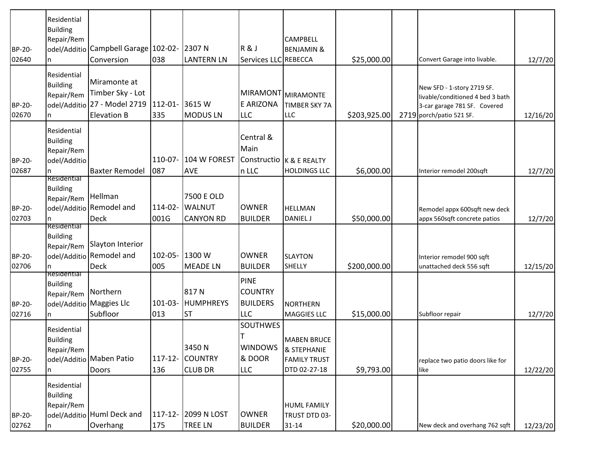| BP-20-<br>02640 | Residential<br><b>Building</b><br>Repair/Rem                                | odel/Additio Campbell Garage 102-02-<br>Conversion                                     | 038               | 2307 N<br><b>LANTERN LN</b>                     | <b>R&amp;J</b><br>Services LLC REBECCA                         | <b>CAMPBELL</b><br><b>BENJAMIN &amp;</b>                                 | \$25,000.00  | Convert Garage into livable.                                                                                               | 12/7/20  |
|-----------------|-----------------------------------------------------------------------------|----------------------------------------------------------------------------------------|-------------------|-------------------------------------------------|----------------------------------------------------------------|--------------------------------------------------------------------------|--------------|----------------------------------------------------------------------------------------------------------------------------|----------|
| BP-20-<br>02670 | Residential<br><b>Building</b><br>Repair/Rem                                | Miramonte at<br>Timber Sky - Lot<br>odel/Additio 27 - Model 2719<br><b>Elevation B</b> | $112 - 01$<br>335 | 3615 W<br><b>MODUS LN</b>                       | E ARIZONA<br><b>LLC</b>                                        | MIRAMONT MIRAMONTE<br><b>TIMBER SKY 7A</b><br><b>LLC</b>                 | \$203,925.00 | New SFD - 1-story 2719 SF.<br>livable/conditioned 4 bed 3 bath<br>3-car garage 781 SF. Covered<br>2719 porch/patio 521 SF. | 12/16/20 |
| BP-20-<br>02687 | Residential<br><b>Building</b><br>Repair/Rem<br>odel/Additio<br>Residential | <b>Baxter Remodel</b>                                                                  | 087               | 110-07- 104 W FOREST<br><b>AVE</b>              | Central &<br>Main<br>n LLC                                     | Constructio   K & E REALTY<br><b>HOLDINGS LLC</b>                        | \$6,000.00   | Interior remodel 200sqft                                                                                                   | 12/7/20  |
| BP-20-<br>02703 | <b>Building</b><br>Repair/Rem<br>Residential                                | Hellman<br>odel/Additio Remodel and<br><b>Deck</b>                                     | 114-02-<br>001G   | 7500 E OLD<br><b>WALNUT</b><br><b>CANYON RD</b> | <b>OWNER</b><br><b>BUILDER</b>                                 | <b>HELLMAN</b><br><b>DANIEL J</b>                                        | \$50,000.00  | Remodel appx 600sqft new deck<br>appx 560sqft concrete patios                                                              | 12/7/20  |
| BP-20-<br>02706 | <b>Building</b><br>Repair/Rem<br>In.                                        | Slayton Interior<br>odel/Additio Remodel and<br><b>Deck</b>                            | 102-05-<br>005    | 1300 W<br><b>MEADE LN</b>                       | <b>OWNER</b><br><b>BUILDER</b>                                 | <b>SLAYTON</b><br><b>SHELLY</b>                                          | \$200,000.00 | Interior remodel 900 sqft<br>unattached deck 556 sqft                                                                      | 12/15/20 |
| BP-20-<br>02716 | Residential<br><b>Building</b><br>Repair/Rem<br>n.                          | Northern<br>odel/Additio Maggies Llc<br>Subfloor                                       | 101-03-<br>013    | 817N<br>HUMPHREYS<br><b>ST</b>                  | <b>PINE</b><br><b>COUNTRY</b><br><b>BUILDERS</b><br><b>LLC</b> | <b>NORTHERN</b><br><b>MAGGIES LLC</b>                                    | \$15,000.00  | Subfloor repair                                                                                                            | 12/7/20  |
| BP-20-<br>02755 | Residential<br><b>Building</b><br>Repair/Rem<br>n                           | odel/Additio Maben Patio<br><b>Doors</b>                                               | 136               | 3450N<br>117-12- COUNTRY<br><b>CLUB DR</b>      | SOUTHWES<br><b>WINDOWS</b><br>& DOOR<br><b>LLC</b>             | <b>MABEN BRUCE</b><br>& STEPHANIE<br><b>FAMILY TRUST</b><br>DTD 02-27-18 | \$9,793.00   | replace two patio doors like for<br>like                                                                                   | 12/22/20 |
| BP-20-<br>02762 | Residential<br><b>Building</b><br>Repair/Rem<br>n                           | odel/Additio Huml Deck and<br>Overhang                                                 | 175               | 117-12- 2099 N LOST<br><b>TREE LN</b>           | <b>OWNER</b><br><b>BUILDER</b>                                 | <b>HUML FAMILY</b><br>TRUST DTD 03-<br>$31 - 14$                         | \$20,000.00  | New deck and overhang 762 sqft                                                                                             | 12/23/20 |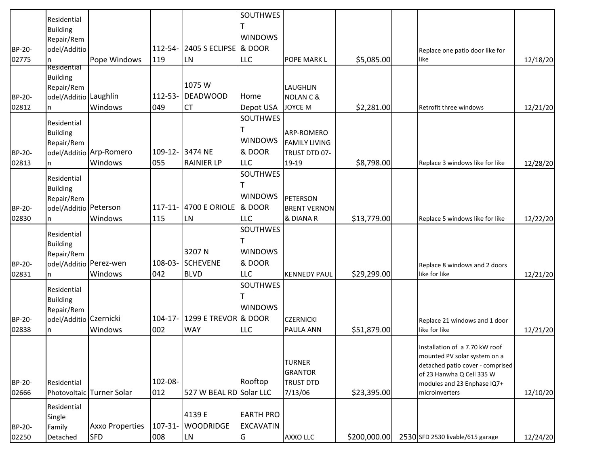|        | Residential                   |                           |            |                                 | SOUTHWES         |                      |              |                                                                |          |
|--------|-------------------------------|---------------------------|------------|---------------------------------|------------------|----------------------|--------------|----------------------------------------------------------------|----------|
|        | <b>Building</b><br>Repair/Rem |                           |            |                                 | <b>WINDOWS</b>   |                      |              |                                                                |          |
| BP-20- | odel/Additio                  |                           | 112-54-    | 2405 S ECLIPSE & DOOR           |                  |                      |              |                                                                |          |
| 02775  | n                             | Pope Windows              | 119        | LN.                             | <b>LLC</b>       | <b>POPE MARK L</b>   | \$5,085.00   | Replace one patio door like for<br>like                        | 12/18/20 |
|        | Residential                   |                           |            |                                 |                  |                      |              |                                                                |          |
|        | <b>Building</b>               |                           |            |                                 |                  |                      |              |                                                                |          |
|        | Repair/Rem                    |                           |            | 1075W                           |                  | LAUGHLIN             |              |                                                                |          |
| BP-20- | odel/Additio Laughlin         |                           | 112-53-    | DEADWOOD                        | Home             | <b>NOLANC&amp;</b>   |              |                                                                |          |
| 02812  | n.                            | Windows                   | 049        | <b>CT</b>                       | Depot USA        | <b>JOYCE M</b>       | \$2,281.00   | Retrofit three windows                                         | 12/21/20 |
|        | Residential                   |                           |            |                                 | <b>SOUTHWES</b>  |                      |              |                                                                |          |
|        | <b>Building</b>               |                           |            |                                 |                  | ARP-ROMERO           |              |                                                                |          |
|        | Repair/Rem                    |                           |            |                                 | <b>WINDOWS</b>   | <b>FAMILY LIVING</b> |              |                                                                |          |
| BP-20- |                               | odel/Additio Arp-Romero   | 109-12-    | 3474 NE                         | & DOOR           | TRUST DTD 07-        |              |                                                                |          |
| 02813  | n                             | Windows                   | 055        | <b>RAINIER LP</b>               | <b>LLC</b>       | 19-19                | \$8,798.00   | Replace 3 windows like for like                                | 12/28/20 |
|        | Residential                   |                           |            |                                 | SOUTHWES         |                      |              |                                                                |          |
|        | <b>Building</b>               |                           |            |                                 |                  |                      |              |                                                                |          |
|        | Repair/Rem                    |                           |            |                                 | <b>WINDOWS</b>   | <b>PETERSON</b>      |              |                                                                |          |
| BP-20- | odel/Additio Peterson         |                           | 117-11-    | 4700 E ORIOLE                   | & DOOR           | <b>BRENT VERNON</b>  |              |                                                                |          |
| 02830  | n                             | Windows                   | 115        | LN.                             | <b>LLC</b>       | & DIANA R            | \$13,779.00  | Replace 5 windows like for like                                | 12/22/20 |
|        | Residential                   |                           |            |                                 | <b>SOUTHWES</b>  |                      |              |                                                                |          |
|        | <b>Building</b>               |                           |            |                                 |                  |                      |              |                                                                |          |
|        | Repair/Rem                    |                           |            | 3207N                           | <b>WINDOWS</b>   |                      |              |                                                                |          |
| BP-20- | odel/Additio Perez-wen        |                           | 108-03-    | <b>SCHEVENE</b>                 | & DOOR           |                      |              | Replace 8 windows and 2 doors                                  |          |
| 02831  | n                             | Windows                   | 042        | <b>BLVD</b>                     | <b>LLC</b>       | <b>KENNEDY PAUL</b>  | \$29,299.00  | like for like                                                  | 12/21/20 |
|        | Residential                   |                           |            |                                 | <b>SOUTHWES</b>  |                      |              |                                                                |          |
|        | <b>Building</b>               |                           |            |                                 |                  |                      |              |                                                                |          |
|        | Repair/Rem                    |                           |            |                                 | <b>WINDOWS</b>   |                      |              |                                                                |          |
| BP-20- | odel/Additio Czernicki        |                           | $104 - 17$ | <b>1299 E TREVOR &amp; DOOR</b> |                  | <b>CZERNICKI</b>     |              | Replace 21 windows and 1 door                                  |          |
| 02838  | n                             | Windows                   | 002        | <b>WAY</b>                      | <b>LLC</b>       | PAULA ANN            | \$51,879.00  | like for like                                                  | 12/21/20 |
|        |                               |                           |            |                                 |                  |                      |              |                                                                |          |
|        |                               |                           |            |                                 |                  |                      |              | Installation of a 7.70 kW roof<br>mounted PV solar system on a |          |
|        |                               |                           |            |                                 |                  | <b>TURNER</b>        |              | detached patio cover - comprised                               |          |
|        |                               |                           |            |                                 |                  | <b>GRANTOR</b>       |              | of 23 Hanwha Q Cell 335 W                                      |          |
| BP-20- | Residential                   |                           | 102-08-    |                                 | Rooftop          | <b>TRUST DTD</b>     |              | modules and 23 Enphase IQ7+                                    |          |
| 02666  |                               | Photovoltaic Turner Solar | 012        | 527 W BEAL RD Solar LLC         |                  | 7/13/06              | \$23,395.00  | microinverters                                                 | 12/10/20 |
|        | Residential                   |                           |            |                                 |                  |                      |              |                                                                |          |
|        | Single                        |                           |            | 4139 E                          | <b>EARTH PRO</b> |                      |              |                                                                |          |
| BP-20- | Family                        | Axxo Properties           | 107-31-    | <b>WOODRIDGE</b>                | <b>EXCAVATIN</b> |                      |              |                                                                |          |
| 02250  | Detached                      | <b>SFD</b>                | 008        | LN <sub></sub>                  | G                | AXXO LLC             | \$200,000.00 | 2530 SFD 2530 livable/615 garage                               | 12/24/20 |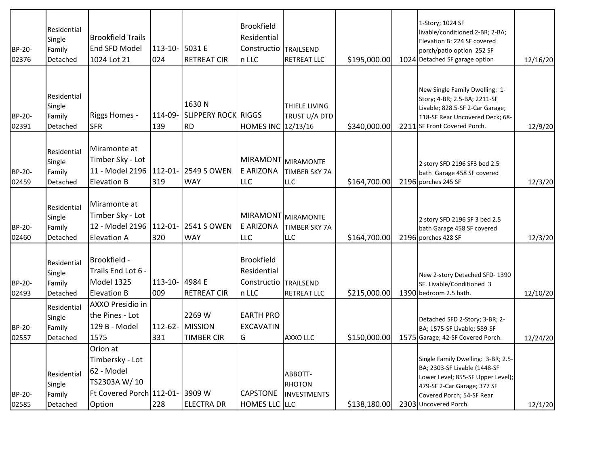| BP-20-<br>02376 | Residential<br>Single<br>Family<br>Detached | <b>Brookfield Trails</b><br><b>End SFD Model</b><br>1024 Lot 21                                        | 113-10-<br>024      | 5031 E<br><b>RETREAT CIR</b>                     | <b>Brookfield</b><br>Residential<br>Constructio<br>n LLC           | <b>TRAILSEND</b><br><b>RETREAT LLC</b>                   | \$195,000.00 | 1-Story; 1024 SF<br>livable/conditioned 2-BR; 2-BA;<br>Elevation B: 224 SF covered<br>porch/patio option 252 SF<br>1024 Detached SF garage option                                            | 12/16/20 |
|-----------------|---------------------------------------------|--------------------------------------------------------------------------------------------------------|---------------------|--------------------------------------------------|--------------------------------------------------------------------|----------------------------------------------------------|--------------|----------------------------------------------------------------------------------------------------------------------------------------------------------------------------------------------|----------|
| BP-20-<br>02391 | Residential<br>Single<br>Family<br>Detached | Riggs Homes -<br><b>SFR</b>                                                                            | 114-09-<br>139      | 1630N<br><b>SLIPPERY ROCK RIGGS</b><br><b>RD</b> | HOMES INC 12/13/16                                                 | THIELE LIVING<br>TRUST U/A DTD                           | \$340,000.00 | New Single Family Dwelling: 1-<br>Story; 4-BR; 2.5-BA; 2211-SF<br>Livable; 828.5-SF 2-Car Garage;<br>118-SF Rear Uncovered Deck; 68-<br>2211 SF Front Covered Porch.                         | 12/9/20  |
| BP-20-<br>02459 | Residential<br>Single<br>Family<br>Detached | Miramonte at<br>Timber Sky - Lot<br>11 - Model 2196<br><b>Elevation B</b>                              | $112 - 01$<br>319   | <b>2549 S OWEN</b><br><b>WAY</b>                 | <b>MIRAMONT</b><br>E ARIZONA<br><b>LLC</b>                         | MIRAMONTE<br><b>TIMBER SKY 7A</b><br>LLC                 | \$164,700.00 | 2 story SFD 2196 SF3 bed 2.5<br>bath Garage 458 SF covered<br>2196 porches 245 SF                                                                                                            | 12/3/20  |
| BP-20-<br>02460 | Residential<br>Single<br>Family<br>Detached | Miramonte at<br>Timber Sky - Lot<br>12 - Model 2196<br><b>Elevation A</b>                              | 112-01-<br>320      | <b>2541 S OWEN</b><br><b>WAY</b>                 | E ARIZONA<br><b>LLC</b>                                            | MIRAMONT MIRAMONTE<br><b>TIMBER SKY 7A</b><br><b>LLC</b> | \$164,700.00 | 2 story SFD 2196 SF 3 bed 2.5<br>bath Garage 458 SF covered<br>2196 porches 428 SF                                                                                                           | 12/3/20  |
| BP-20-<br>02493 | Residential<br>Single<br>Family<br>Detached | Brookfield -<br>Trails End Lot 6 -<br>Model 1325<br><b>Elevation B</b>                                 | $113 - 10 -$<br>009 | 4984 E<br><b>RETREAT CIR</b>                     | <b>Brookfield</b><br>Residential<br>Constructio TRAILSEND<br>n LLC | <b>RETREAT LLC</b>                                       | \$215,000.00 | New 2-story Detached SFD-1390<br>SF. Livable/Conditioned 3<br>1390 bedroom 2.5 bath.                                                                                                         | 12/10/20 |
| BP-20-<br>02557 | Residential<br>Single<br>Family<br>Detached | AXXO Presidio in<br>the Pines - Lot<br>129 B - Model<br>1575                                           | $112 - 62 -$<br>331 | 2269 W<br>MISSION<br><b>TIMBER CIR</b>           | <b>EARTH PRO</b><br><b>EXCAVATIN</b><br>G                          | AXXO LLC                                                 | \$150,000.00 | Detached SFD 2-Story; 3-BR; 2-<br>BA; 1575-SF Livable; 589-SF<br>1575 Garage; 42-SF Covered Porch.                                                                                           | 12/24/20 |
| BP-20-<br>02585 | Residential<br>Single<br>Family<br>Detached | Orion at<br>Timbersky - Lot<br>62 - Model<br>TS2303A W/10<br>Ft Covered Porch 112-01- 3909 W<br>Option | 228                 | <b>ELECTRA DR</b>                                | <b>CAPSTONE</b><br>HOMES LLC LLC                                   | ABBOTT-<br><b>RHOTON</b><br><b>INVESTMENTS</b>           | \$138,180.00 | Single Family Dwelling: 3-BR; 2.5-<br>BA; 2303-SF Livable (1448-SF<br>Lower Level; 855-SF Upper Level);<br>479-SF 2-Car Garage; 377 SF<br>Covered Porch; 54-SF Rear<br>2303 Uncovered Porch. | 12/1/20  |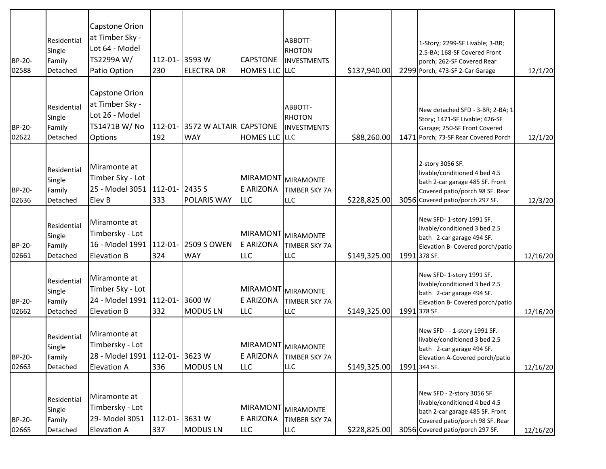| BP-20-<br>02588 | Residential<br>Single<br>Family<br>Detached | <b>Capstone Orion</b><br>at Timber Sky -<br>Lot 64 - Model<br>TS2299A W/<br>Patio Option         | 112-01-<br>230 | 3593 W<br><b>ELECTRA DR</b>                                             | CAPSTONE<br>HOMES LLC LLC | ABBOTT-<br>RHOTON<br>INVESTMENTS                         | \$137,940.00 | 1-Story; 2299-SF Livable; 3-BR;<br>2.5-BA; 168-SF Covered Front<br>porch; 262-SF Covered Rear<br>2299 Porch; 473-SF 2-Car Garage                                      | 12/1/20  |
|-----------------|---------------------------------------------|--------------------------------------------------------------------------------------------------|----------------|-------------------------------------------------------------------------|---------------------------|----------------------------------------------------------|--------------|-----------------------------------------------------------------------------------------------------------------------------------------------------------------------|----------|
| BP-20-<br>02622 | Residential<br>Single<br>Family<br>Detached | <b>Capstone Orion</b><br>at Timber Sky -<br>Lot 26 - Model<br>TS1471B W/ No<br><b>Options</b>    | 112-01-<br>192 | 3572 W ALTAIR CAPSTONE<br><b>WAY</b>                                    | HOMES LLC LLC             | ABBOTT-<br>RHOTON<br>INVESTMENTS                         | \$88,260.00  | New detached SFD - 3-BR; 2-BA; 1-<br>Story; 1471-SF Livable; 426-SF<br>Garage; 250-SF Front Covered<br>1471 Porch; 73-SF Rear Covered Porch                           | 12/1/20  |
| BP-20-<br>02636 | Residential<br>Single<br>Family<br>Detached | Miramonte at<br>Timber Sky - Lot<br>25 - Model 3051 112-01-<br>Elev B                            | 333            | $\begin{array}{c} \n\textbf{2435 S}\n\end{array}$<br><b>POLARIS WAY</b> | E ARIZONA<br><b>LLC</b>   | MIRAMONT MIRAMONTE<br><b>TIMBER SKY 7A</b><br><b>LLC</b> | \$228,825.00 | 2-story 3056 SF.<br>livable/conditioned 4 bed 4.5<br>bath 2-car garage 485 SF. Front<br>Covered patio/porch 98 SF. Rear<br>3056 Covered patio/porch 297 SF.           | 12/3/20  |
| BP-20-<br>02661 | Residential<br>Single<br>Family<br>Detached | Miramonte at<br>Timbersky - Lot<br>16 - Model 1991   112-01-   2509 S OWEN<br><b>Elevation B</b> | 324            | <b>WAY</b>                                                              | E ARIZONA<br><b>LLC</b>   | MIRAMONT MIRAMONTE<br>TIMBER SKY 7A<br><b>LLC</b>        | \$149,325.00 | New SFD-1-story 1991 SF.<br>livable/conditioned 3 bed 2.5<br>bath 2-car garage 494 SF.<br>Elevation B- Covered porch/patio<br>1991 378 SF.                            | 12/16/20 |
| BP-20-<br>02662 | Residential<br>Single<br>Family<br>Detached | Miramonte at<br>Timber Sky - Lot<br>24 - Model 1991   112-01-<br><b>Elevation B</b>              | 332            | 3600 W<br><b>MODUSLN</b>                                                | E ARIZONA<br><b>LLC</b>   | MIRAMONT MIRAMONTE<br><b>TIMBER SKY 7A</b><br><b>LLC</b> | \$149,325.00 | New SFD-1-story 1991 SF.<br>livable/conditioned 3 bed 2.5<br>bath 2-car garage 494 SF.<br>Elevation B- Covered porch/patio<br>1991 378 SF.                            | 12/16/20 |
| BP-20-<br>02663 | Residential<br>Single<br>Family<br>Detached | Miramonte at<br>Timbersky - Lot<br>28 - Model 1991   112-01- 3623 W<br><b>Elevation A</b>        | 336            | <b>MODUSLN</b>                                                          | E ARIZONA<br><b>LLC</b>   | MIRAMONT MIRAMONTE<br>TIMBER SKY 7A<br><b>LLC</b>        | \$149,325.00 | New SFD - - 1-story 1991 SF.<br>livable/conditioned 3 bed 2.5<br>bath 2-car garage 494 SF.<br>Elevation A-Covered porch/patio<br>1991 344 SF.                         | 12/16/20 |
| BP-20-<br>02665 | Residential<br>Single<br>Family<br>Detached | Miramonte at<br>Timbersky - Lot<br>29- Model 3051<br><b>Elevation A</b>                          | 337            | 112-01- 3631 W<br>MODUS LN                                              | E ARIZONA<br><b>LLC</b>   | MIRAMONT MIRAMONTE<br>TIMBER SKY 7A<br><b>LLC</b>        | \$228,825.00 | New SFD - 2-story 3056 SF.<br>livable/conditioned 4 bed 4.5<br>bath 2-car garage 485 SF. Front<br>Covered patio/porch 98 SF. Rear<br>3056 Covered patio/porch 297 SF. | 12/16/20 |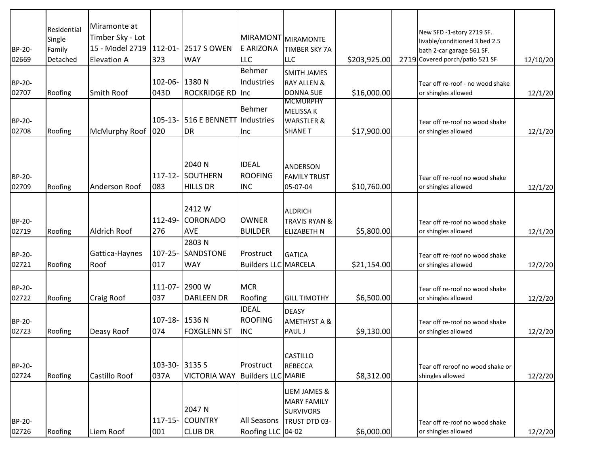| Residential<br>Single<br>Family<br>Detached | Miramonte at<br>Timber Sky - Lot<br>15 - Model 2719<br><b>Elevation A</b> | 323                 | <b>WAY</b>                                       | E ARIZONA<br><b>LLC</b>                                                                                     | <b>TIMBER SKY 7A</b><br><b>LLC</b>                               |                                                                                                                                                | New SFD -1-story 2719 SF.<br>livable/conditioned 3 bed 2.5<br>bath 2-car garage 561 SF.                                                        | 12/10/20                                               |
|---------------------------------------------|---------------------------------------------------------------------------|---------------------|--------------------------------------------------|-------------------------------------------------------------------------------------------------------------|------------------------------------------------------------------|------------------------------------------------------------------------------------------------------------------------------------------------|------------------------------------------------------------------------------------------------------------------------------------------------|--------------------------------------------------------|
| Roofing                                     | <b>Smith Roof</b>                                                         | 102-06-<br>043D     | 1380N                                            | Behmer<br>Industries                                                                                        | <b>SMITH JAMES</b><br><b>RAY ALLEN &amp;</b><br><b>DONNA SUE</b> |                                                                                                                                                | Tear off re-roof - no wood shake<br>or shingles allowed                                                                                        | 12/1/20                                                |
| Roofing                                     | McMurphy Roof                                                             | 105-13-<br>020      | <b>DR</b>                                        | Behmer<br>Inc                                                                                               | <b>MELISSA K</b><br><b>WARSTLER &amp;</b><br><b>SHANE T</b>      |                                                                                                                                                | Tear off re-roof no wood shake<br>or shingles allowed                                                                                          | 12/1/20                                                |
| Roofing                                     | Anderson Roof                                                             | $117 - 12 -$<br>083 | 2040 <sub>N</sub><br>SOUTHERN<br><b>HILLS DR</b> | <b>IDEAL</b><br><b>ROOFING</b><br><b>INC</b>                                                                | ANDERSON<br><b>FAMILY TRUST</b><br>05-07-04                      |                                                                                                                                                | Tear off re-roof no wood shake<br>or shingles allowed                                                                                          | 12/1/20                                                |
| Roofing                                     | <b>Aldrich Roof</b>                                                       | 112-49-<br>276      | 2412W<br><b>CORONADO</b><br>AVE                  | <b>OWNER</b><br><b>BUILDER</b>                                                                              | <b>ALDRICH</b><br><b>TRAVIS RYAN &amp;</b><br><b>ELIZABETH N</b> |                                                                                                                                                | Tear off re-roof no wood shake<br>or shingles allowed                                                                                          | 12/1/20                                                |
| Roofing                                     | Gattica-Haynes<br>Roof                                                    | $107 - 25 -$<br>017 | <b>SANDSTONE</b><br><b>WAY</b>                   | Prostruct                                                                                                   | <b>GATICA</b>                                                    |                                                                                                                                                | Tear off re-roof no wood shake<br>or shingles allowed                                                                                          | 12/2/20                                                |
| Roofing                                     | <b>Craig Roof</b>                                                         | 037                 | <b>DARLEEN DR</b>                                | <b>MCR</b><br>Roofing                                                                                       | <b>GILL TIMOTHY</b>                                              |                                                                                                                                                | Tear off re-roof no wood shake<br>or shingles allowed                                                                                          | 12/2/20                                                |
| Roofing                                     | Deasy Roof                                                                | 074                 | <b>FOXGLENN ST</b>                               | <b>IDEAL</b><br><b>ROOFING</b><br><b>INC</b>                                                                | <b>DEASY</b><br><b>AMETHYST A &amp;</b><br><b>PAUL J</b>         |                                                                                                                                                | Tear off re-roof no wood shake<br>or shingles allowed                                                                                          | 12/2/20                                                |
| Roofing                                     | Castillo Roof                                                             | 103-30-<br>037A     | <b>VICTORIA WAY</b>                              | Prostruct                                                                                                   | <b>CASTILLO</b><br><b>REBECCA</b>                                |                                                                                                                                                | Tear off reroof no wood shake or<br>shingles allowed                                                                                           | 12/2/20                                                |
|                                             |                                                                           | 117-15-             | 2047 N<br><b>COUNTRY</b>                         | All Seasons                                                                                                 | LIEM JAMES &<br><b>MARY FAMILY</b><br><b>SURVIVORS</b>           |                                                                                                                                                | Tear off re-roof no wood shake                                                                                                                 | 12/2/20                                                |
|                                             | Roofing                                                                   | Liem Roof           | 001                                              | <b>2517 S OWEN</b><br>$112 - 01 -$<br>2803N<br>111-07- 2900 W<br>107-18- 1536 N<br>3135 S<br><b>CLUB DR</b> | <b>ROCKRIDGE RD Inc</b><br>516 E BENNETT Industries              | <b>MIRAMONT</b> MIRAMONTE<br><b>MCMURPHY</b><br><b>Builders LLC MARCELA</b><br><b>Builders LLC MARIE</b><br>TRUST DTD 03-<br>Roofing LLC 04-02 | \$203,925.00<br>\$16,000.00<br>\$17,900.00<br>\$10,760.00<br>\$5,800.00<br>\$21,154.00<br>\$6,500.00<br>\$9,130.00<br>\$8,312.00<br>\$6,000.00 | 2719 Covered porch/patio 521 SF<br>or shingles allowed |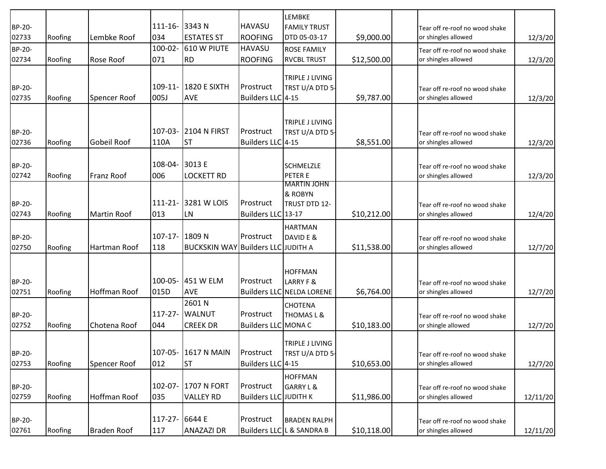|                 |         |                    | 111-16- 3343 N        |                                           | <b>HAVASU</b>                             | LEMBKE<br><b>FAMILY TRUST</b>                                              |             |                                                       |          |
|-----------------|---------|--------------------|-----------------------|-------------------------------------------|-------------------------------------------|----------------------------------------------------------------------------|-------------|-------------------------------------------------------|----------|
| BP-20-<br>02733 | Roofing | Lembke Roof        | 034                   | <b>ESTATES ST</b>                         | <b>ROOFING</b>                            | DTD 05-03-17                                                               | \$9,000.00  | Tear off re-roof no wood shake<br>or shingles allowed | 12/3/20  |
| BP-20-<br>02734 | Roofing | <b>Rose Roof</b>   | 100-02-<br>071        | 610 W PIUTE<br>RD                         | <b>HAVASU</b><br><b>ROOFING</b>           | <b>ROSE FAMILY</b><br><b>RVCBL TRUST</b>                                   | \$12,500.00 | Tear off re-roof no wood shake<br>or shingles allowed | 12/3/20  |
| BP-20-<br>02735 | Roofing | Spencer Roof       | 005J                  | 109-11- 1820 E SIXTH<br><b>AVE</b>        | Prostruct<br>Builders LLC 4-15            | TRIPLE J LIVING<br>TRST U/A DTD 5-                                         | \$9,787.00  | Tear off re-roof no wood shake<br>or shingles allowed | 12/3/20  |
| BP-20-<br>02736 | Roofing | Gobeil Roof        | 107-03-<br>110A       | <b>2104 N FIRST</b><br><b>ST</b>          | Prostruct<br>Builders LLC 4-15            | TRIPLE J LIVING<br>TRST U/A DTD 5-                                         | \$8,551.00  | Tear off re-roof no wood shake<br>or shingles allowed | 12/3/20  |
| BP-20-<br>02742 | Roofing | <b>Franz Roof</b>  | 108-04- 3013 E<br>006 | <b>LOCKETT RD</b>                         |                                           | <b>SCHMELZLE</b><br>PETER E                                                |             | Tear off re-roof no wood shake<br>or shingles allowed | 12/3/20  |
| BP-20-<br>02743 | Roofing | <b>Martin Roof</b> | 013                   | 111-21- 3281 W LOIS<br><b>LN</b>          | Prostruct<br>Builders LLC 13-17           | <b>MARTIN JOHN</b><br>& ROBYN<br>TRUST DTD 12-                             | \$10,212.00 | Tear off re-roof no wood shake<br>or shingles allowed | 12/4/20  |
| BP-20-<br>02750 | Roofing | Hartman Roof       | 107-17- 1809 N<br>118 | <b>BUCKSKIN WAY Builders LLC JUDITH A</b> | Prostruct                                 | <b>HARTMAN</b><br>DAVID E &                                                | \$11,538.00 | Tear off re-roof no wood shake<br>or shingles allowed | 12/7/20  |
| BP-20-<br>02751 | Roofing | Hoffman Roof       | 100-05-<br>015D       | 451 W ELM<br>AVE                          | Prostruct                                 | <b>HOFFMAN</b><br><b>LARRY F &amp;</b><br><b>Builders LLC NELDA LORENE</b> | \$6,764.00  | Tear off re-roof no wood shake<br>or shingles allowed | 12/7/20  |
| BP-20-<br>02752 | Roofing | Chotena Roof       | 117-27-<br>044        | 2601N<br><b>WALNUT</b><br><b>CREEK DR</b> | Prostruct<br><b>Builders LLC MONA C</b>   | <b>CHOTENA</b><br><b>THOMASL&amp;</b>                                      | \$10,183.00 | Tear off re-roof no wood shake<br>or shingle allowed  | 12/7/20  |
| BP-20-<br>02753 | Roofing | Spencer Roof       | 012                   | 107-05- 1617 N MAIN Prostruct<br> ST      | Builders LLC 4-15                         | <b>TRIPLE J LIVING</b><br>TRST U/A DTD 5-                                  | \$10,653.00 | Tear off re-roof no wood shake<br>or shingles allowed | 12/7/20  |
| BP-20-<br>02759 | Roofing | Hoffman Roof       | 035                   | 102-07- 1707 N FORT<br><b>VALLEY RD</b>   | Prostruct<br><b>Builders LLC JUDITH K</b> | <b>HOFFMAN</b><br><b>GARRY L &amp;</b>                                     | \$11,986.00 | Tear off re-roof no wood shake<br>or shingles allowed | 12/11/20 |
| BP-20-<br>02761 | Roofing | <b>Braden Roof</b> | 117-27- 6644 E<br>117 | <b>ANAZAZI DR</b>                         | Prostruct                                 | <b>BRADEN RALPH</b><br>Builders LLC L & SANDRA B                           | \$10,118.00 | Tear off re-roof no wood shake<br>or shingles allowed | 12/11/20 |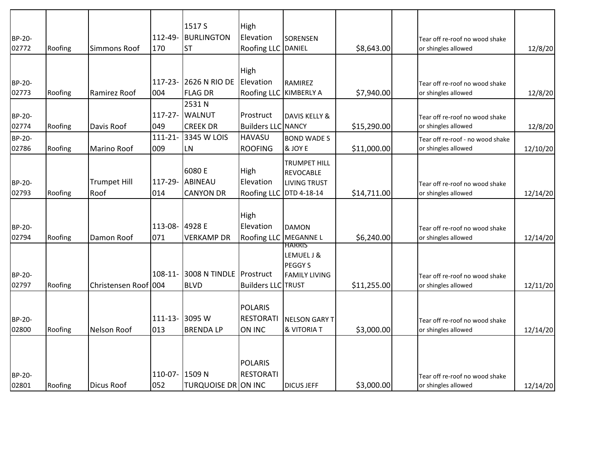| BP-20-<br>02772 | Roofing | <b>Simmons Roof</b>         | 112-49-<br>170        | 1517 S<br>BURLINGTON<br><b>ST</b>         | High<br>Elevation<br>Roofing LLC DANIEL             | <b>SORENSEN</b>                                                                           | \$8,643.00  | Tear off re-roof no wood shake<br>or shingles allowed   | 12/8/20  |
|-----------------|---------|-----------------------------|-----------------------|-------------------------------------------|-----------------------------------------------------|-------------------------------------------------------------------------------------------|-------------|---------------------------------------------------------|----------|
| BP-20-<br>02773 | Roofing | Ramirez Roof                | $117 - 23 -$<br>004   | <b>2626 N RIO DE</b><br><b>FLAG DR</b>    | High<br>Elevation<br>Roofing LLC KIMBERLY A         | <b>RAMIREZ</b>                                                                            | \$7,940.00  | Tear off re-roof no wood shake<br>or shingles allowed   | 12/8/20  |
| BP-20-<br>02774 | Roofing | Davis Roof                  | 117-27-<br>049        | 2531N<br><b>WALNUT</b><br><b>CREEK DR</b> | Prostruct<br><b>Builders LLC NANCY</b>              | DAVIS KELLY &                                                                             | \$15,290.00 | Tear off re-roof no wood shake<br>or shingles allowed   | 12/8/20  |
| BP-20-<br>02786 | Roofing | Marino Roof                 | 111-21-<br>009        | 3345 W LOIS<br>LN.                        | <b>HAVASU</b><br><b>ROOFING</b>                     | <b>BOND WADE S</b><br>& JOY E                                                             | \$11,000.00 | Tear off re-roof - no wood shake<br>or shingles allowed | 12/10/20 |
| BP-20-<br>02793 | Roofing | <b>Trumpet Hill</b><br>Roof | 117-29-<br>014        | 6080 E<br>ABINEAU<br><b>CANYON DR</b>     | High<br>Elevation                                   | <b>TRUMPET HILL</b><br><b>REVOCABLE</b><br><b>LIVING TRUST</b><br>Roofing LLC DTD 4-18-14 | \$14,711.00 | Tear off re-roof no wood shake<br>or shingles allowed   | 12/14/20 |
| BP-20-<br>02794 | Roofing | Damon Roof                  | 113-08-<br>071        | 4928 E<br><b>VERKAMP DR</b>               | High<br>Elevation<br>Roofing LLC MEGANNE L          | <b>DAMON</b>                                                                              | \$6,240.00  | Tear off re-roof no wood shake<br>or shingles allowed   | 12/14/20 |
| BP-20-<br>02797 | Roofing | Christensen Roof 004        | $108 - 11$            | 3008 N TINDLE<br><b>BLVD</b>              | Prostruct<br><b>Builders LLC TRUST</b>              | <b>HARRIS</b><br>LEMUEL J &<br><b>PEGGY S</b><br><b>FAMILY LIVING</b>                     | \$11,255.00 | Tear off re-roof no wood shake<br>or shingles allowed   | 12/11/20 |
| BP-20-<br>02800 | Roofing | Nelson Roof                 | 013                   | 111-13- 3095 W<br><b>BRENDALP</b>         | <b>POLARIS</b><br><b>RESTORATI</b><br><b>ON INC</b> | <b>NELSON GARY T</b><br>& VITORIA T                                                       | \$3,000.00  | Tear off re-roof no wood shake<br>or shingles allowed   | 12/14/20 |
| BP-20-<br>02801 | Roofing | <b>Dicus Roof</b>           | 110-07- 1509 N<br>052 | <b>TURQUOISE DRON INC</b>                 | <b>POLARIS</b><br><b>RESTORATI</b>                  | <b>DICUS JEFF</b>                                                                         | \$3,000.00  | Tear off re-roof no wood shake<br>or shingles allowed   | 12/14/20 |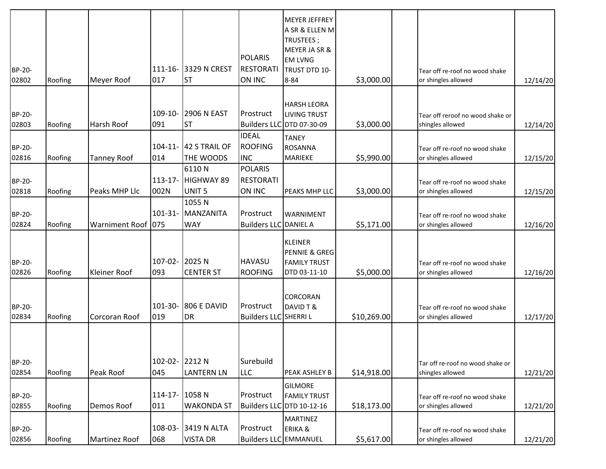| BP-20-          |         |                    |                       | 111-16- 3329 N CREST                     | <b>POLARIS</b><br><b>RESTORATI</b>                  | <b>MEYER JEFFREY</b><br>A SR & ELLEN M<br>TRUSTEES;<br>MEYER JA SR &<br><b>EM LVNG</b><br>TRUST DTD 10- |             | Tear off re-roof no wood shake                        |          |
|-----------------|---------|--------------------|-----------------------|------------------------------------------|-----------------------------------------------------|---------------------------------------------------------------------------------------------------------|-------------|-------------------------------------------------------|----------|
| 02802           | Roofing | Meyer Roof         | 017                   | lst                                      | <b>ON INC</b>                                       | 8-84                                                                                                    | \$3,000.00  | or shingles allowed                                   | 12/14/20 |
| BP-20-<br>02803 | Roofing | Harsh Roof         | 109-10-<br>091        | <b>2906 N EAST</b><br><b>ST</b>          | Prostruct                                           | <b>HARSH LEORA</b><br><b>LIVING TRUST</b><br>Builders LLC DTD 07-30-09                                  | \$3,000.00  | Tear off reroof no wood shake or<br>shingles allowed  | 12/14/20 |
| BP-20-<br>02816 | Roofing | <b>Tanney Roof</b> | 014                   | 104-11- 42 S TRAIL OF<br>THE WOODS       | <b>IDEAL</b><br><b>ROOFING</b><br><b>INC</b>        | <b>TANEY</b><br><b>ROSANNA</b><br>MARIEKE                                                               | \$5,990.00  | Tear off re-roof no wood shake<br>or shingles allowed | 12/15/20 |
| BP-20-<br>02818 | Roofing | Peaks MHP Llc      | 113-17-<br>002N       | 6110N<br>HIGHWAY 89<br>UNIT <sub>5</sub> | <b>POLARIS</b><br><b>RESTORATI</b><br><b>ON INC</b> | PEAKS MHP LLC                                                                                           | \$3,000.00  | Tear off re-roof no wood shake<br>or shingles allowed | 12/15/20 |
| BP-20-<br>02824 | Roofing | Warniment Roof 075 | 101-31-               | 1055N<br>MANZANITA<br><b>WAY</b>         | Prostruct<br><b>Builders LLC DANIEL A</b>           | WARNIMENT                                                                                               | \$5,171.00  | Tear off re-roof no wood shake<br>or shingles allowed | 12/16/20 |
| BP-20-<br>02826 | Roofing | Kleiner Roof       | 107-02- 2025 N<br>093 | <b>CENTER ST</b>                         | <b>HAVASU</b><br><b>ROOFING</b>                     | <b>KLEINER</b><br>PENNIE & GREG<br><b>FAMILY TRUST</b><br>DTD 03-11-10                                  | \$5,000.00  | Tear off re-roof no wood shake<br>or shingles allowed | 12/16/20 |
| BP-20-<br>02834 | Roofing | Corcoran Roof      | 101-30-<br>019        | 806 E DAVID<br><b>I</b> DR               | Prostruct<br><b>Builders LLC SHERRIL</b>            | <b>CORCORAN</b><br>DAVID T &                                                                            | \$10,269.00 | Tear off re-roof no wood shake<br>or shingles allowed | 12/17/20 |
| BP-20-<br>02854 | Roofing | Peak Roof          | 102-02- 2212 N<br>045 | <b>LANTERN LN</b>                        | Surebuild<br><b>LLC</b>                             | PEAK ASHLEY B                                                                                           | \$14,918.00 | Tar off re-roof no wood shake or<br>shingles allowed  | 12/21/20 |
| BP-20-<br>02855 | Roofing | Demos Roof         | 114-17- 1058 N<br>011 | <b>WAKONDA ST</b>                        | Prostruct                                           | <b>GILMORE</b><br><b>FAMILY TRUST</b><br>Builders LLC DTD 10-12-16                                      | \$18,173.00 | Tear off re-roof no wood shake<br>or shingles allowed | 12/21/20 |
| BP-20-<br>02856 | Roofing | Martinez Roof      | 108-03-<br>068        | 3419 N ALTA<br><b>VISTA DR</b>           | Prostruct<br><b>Builders LLC EMMANUEL</b>           | MARTINEZ<br>ERIKA &                                                                                     | \$5,617.00  | Tear off re-roof no wood shake<br>or shingles allowed | 12/21/20 |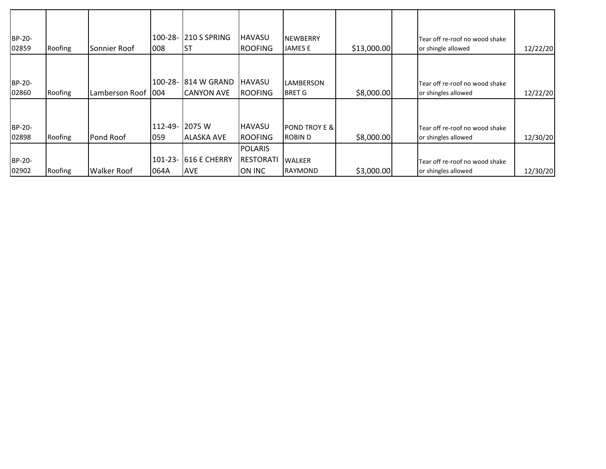| BP-20-<br>02859 | Roofing | Sonnier Roof         | $100 - 28 -$<br>1008 | 210 S SPRING<br>Ist                 | <b>HAVASU</b><br><b>ROOFING</b>              | <b>NEWBERRY</b><br><b>JAMES E</b>         | \$13,000.00 | Tear off re-roof no wood shake<br>or shingle allowed  | 12/22/20 |
|-----------------|---------|----------------------|----------------------|-------------------------------------|----------------------------------------------|-------------------------------------------|-------------|-------------------------------------------------------|----------|
| BP-20-<br>02860 | Roofing | Lamberson Roof   004 | $100 - 28 -$         | 814 W GRAND<br><b>CANYON AVE</b>    | IHAVASU<br><b>ROOFING</b>                    | LAMBERSON<br><b>BRET G</b>                | \$8,000.00  | Tear off re-roof no wood shake<br>or shingles allowed | 12/22/20 |
| BP-20-<br>02898 | Roofing | <b>Pond Roof</b>     | $ 059\rangle$        | 112-49- 2075 W<br><b>ALASKA AVE</b> | <b>HAVASU</b><br><b>ROOFING</b>              | <b>POND TROY E &amp;</b><br><b>ROBIND</b> | \$8,000.00  | Tear off re-roof no wood shake<br>or shingles allowed | 12/30/20 |
| BP-20-<br>02902 | Roofing | <b>Walker Roof</b>   | $101 - 23 -$<br>064A | 616 E CHERRY<br>IAVE                | <b>POLARIS</b><br><b>RESTORATI</b><br>ON INC | <b>WALKER</b><br><b>IRAYMOND</b>          | \$3,000.00  | Tear off re-roof no wood shake<br>or shingles allowed | 12/30/20 |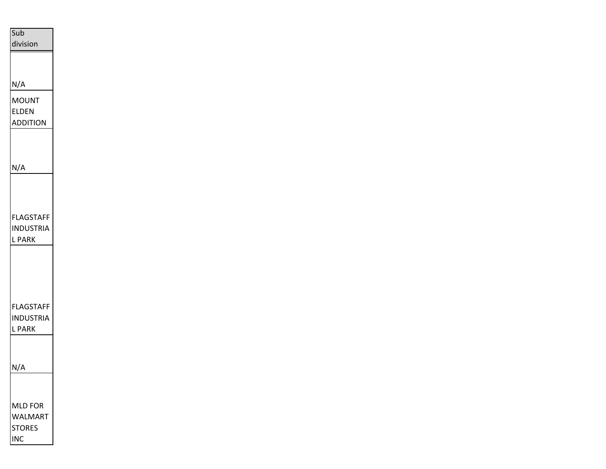| Sub                                             |  |
|-------------------------------------------------|--|
| division                                        |  |
|                                                 |  |
| N/A                                             |  |
| <b>MOUNT</b><br><b>ELDEN</b><br><b>ADDITION</b> |  |
|                                                 |  |
| N/A                                             |  |
|                                                 |  |
| <b>FLAGSTAFF</b><br><b>INDUSTRIA</b><br>L PARK  |  |
|                                                 |  |
|                                                 |  |
| <b>FLAGSTAFF</b>                                |  |
| <b>INDUSTRIA</b><br>L PARK                      |  |
|                                                 |  |
| N/A                                             |  |
|                                                 |  |
| <b>MLD FOR</b>                                  |  |
| <b>WALMART</b><br><b>STORES</b>                 |  |
| <b>INC</b>                                      |  |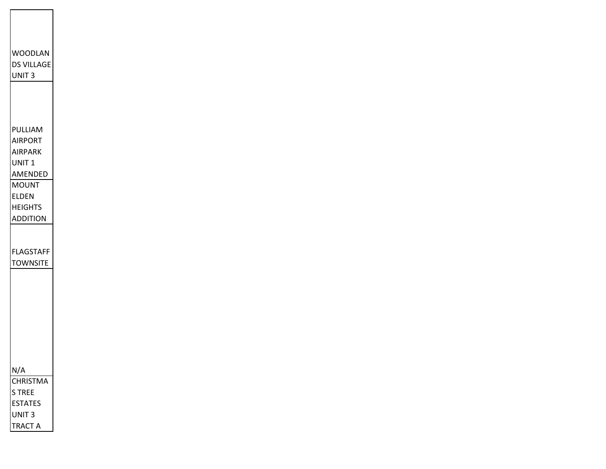WOODLAN DS VILLAGE UNIT 3 PULLIAM AIRPORT AIRPARK UNIT<sub>1</sub> AMENDED MOUNT ELDEN **HEIGHTS** ADDITION FLAGSTAFF **TOWNSITE** N/A **CHRISTMA** S TREE **ESTATES** UNIT 3 TRACT A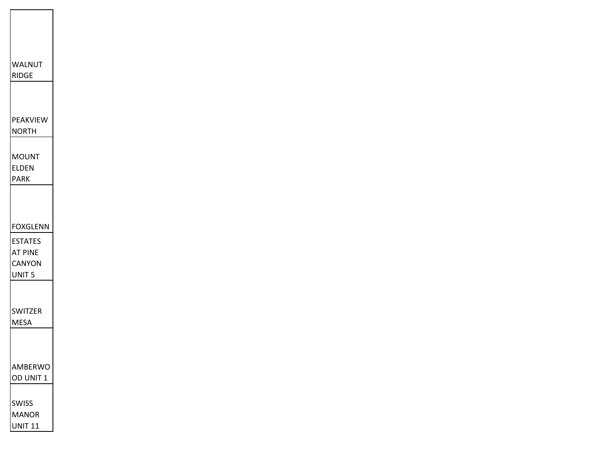| WALNUT<br><b>RIDGE</b>                         |  |
|------------------------------------------------|--|
| PEAKVIEW<br><b>NORTH</b>                       |  |
| <b>MOUNT</b><br><b>ELDEN</b><br><b>PARK</b>    |  |
| <b>FOXGLENN</b>                                |  |
| <b>ESTATES</b><br><b>AT PINE</b><br>CANYON     |  |
| UNIT <sub>5</sub>                              |  |
| <b>SWITZER</b><br><b>MESA</b>                  |  |
| AMBERWO<br>OD UNIT 1                           |  |
| <b>SWISS</b><br><b>MANOR</b><br><b>UNIT 11</b> |  |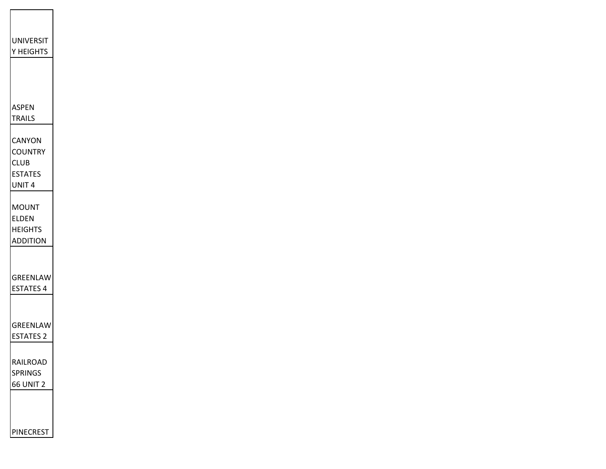| UNIVERSIT<br>Y HEIGHTS     |  |
|----------------------------|--|
|                            |  |
| ASPEN                      |  |
| TRAILS                     |  |
| CANYON<br><b>COUNTRY</b>   |  |
| CLUB<br>ESTATES<br>UNIT 4  |  |
| <b>MOUNT</b><br>ELDEN      |  |
| HEIGHTS<br><b>ADDITION</b> |  |
| GREENLAW                   |  |
| <b>ESTATES 4</b>           |  |
|                            |  |
| GREENLAW<br>ESTATES 2      |  |
| RAILROAD<br>SPRINGS        |  |
| 66 UNIT 2                  |  |
|                            |  |
| PINECREST                  |  |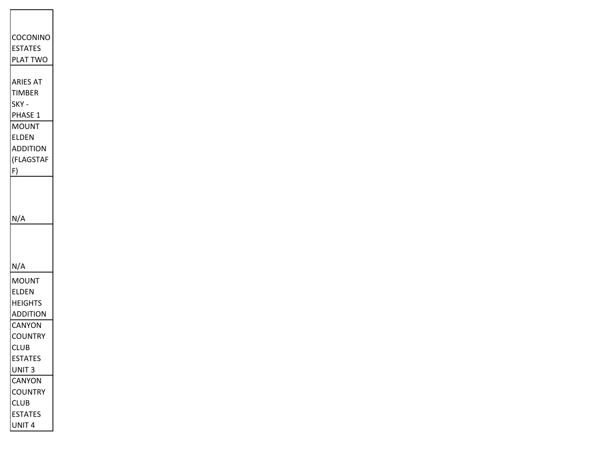**COCONINO ESTATES** PLAT TWO ARIES AT TIMBER SKY - PHASE<sub>1</sub> MOUNT ELDEN ADDITION (FLAGSTAF F) N/A N/A MOUNT ELDEN **HEIGHTS** ADDITION **CANYON COUNTRY** CLUB **ESTATES** UNIT 3 CANYON **COUNTRY** CLUB **ESTATES** UNIT 4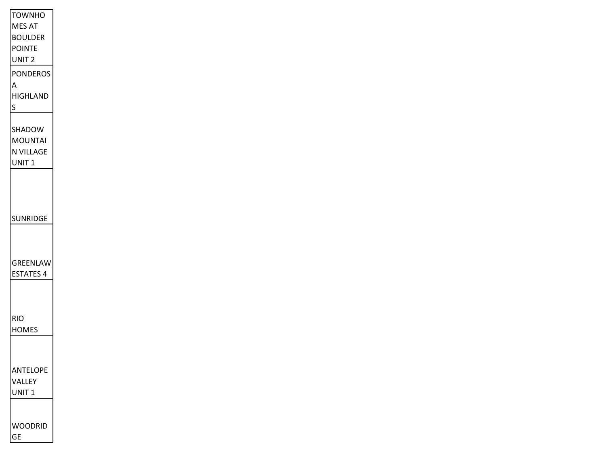| <b>TOWNHO</b>         |  |
|-----------------------|--|
| MES AT                |  |
| <b>BOULDER</b>        |  |
| POINTE                |  |
| UNIT 2                |  |
| PONDEROS              |  |
| Α                     |  |
| HIGHLAND              |  |
| $\mathsf{s}$          |  |
|                       |  |
| SHADOW                |  |
| MOUNTAI               |  |
| N VILLAGE             |  |
| UNIT 1                |  |
|                       |  |
|                       |  |
|                       |  |
| <b>SUNRIDGE</b>       |  |
|                       |  |
|                       |  |
|                       |  |
| <b>GREENLA</b> \<br>N |  |
| ESTATES 4             |  |
|                       |  |
|                       |  |
|                       |  |
| RIO                   |  |
| HOMES                 |  |
|                       |  |
|                       |  |
| ANTELOPE              |  |
| VALLEY                |  |
| UNIT 1                |  |
|                       |  |
|                       |  |
| VOODRID               |  |
| GE                    |  |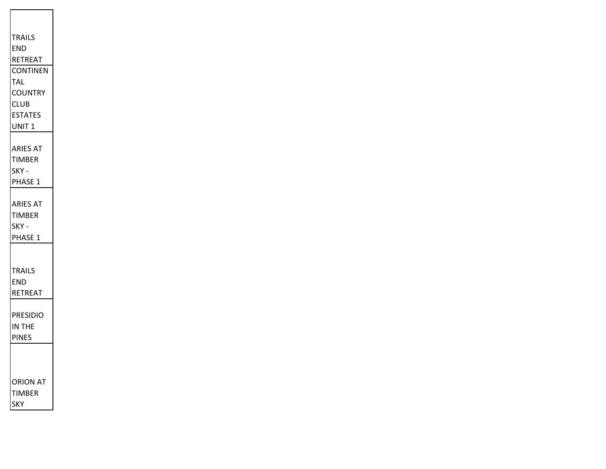| TRAILS                |
|-----------------------|
| END                   |
| RETREAT               |
| <b>CONTINEN</b>       |
| TAL<br><b>COUNTRY</b> |
| CLUB                  |
| <b>ESTATES</b>        |
| UNIT <sub>1</sub>     |
|                       |
| <b>ARIES AT</b>       |
| TIMBER                |
| SKY.                  |
| <b>PHASE 1</b>        |
|                       |
| <b>ARIES AT</b>       |
| TIMBER                |
| SKY ·<br>PHASE<br>1   |
|                       |
|                       |
| <b>TRAILS</b>         |
| END                   |
| <b>RETREAT</b>        |
|                       |
| <b>PRESIDIO</b>       |
| IN THE                |
| <b>PINES</b>          |
|                       |
|                       |
| ORION AT              |
| <b>TIMBER</b>         |
| SKY                   |
|                       |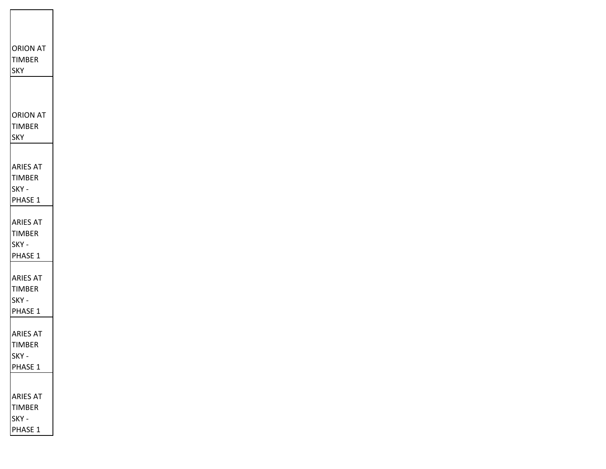| <b>ORION AT</b><br>TIMBER<br><b>SKY</b>              |  |
|------------------------------------------------------|--|
| <b>ORION AT</b>                                      |  |
| TIMBER<br><b>SKY</b>                                 |  |
| <b>ARIES AT</b><br><b>TIMBER</b><br>SKY -<br>PHASE 1 |  |
| <b>ARIES AT</b><br><b>TIMBER</b><br>SKY -<br>PHASE 1 |  |
| <b>ARIES AT</b><br><b>TIMBER</b><br>SKY -<br>PHASE 1 |  |
| <b>ARIES AT</b><br><b>TIMBER</b><br>SKY -<br>PHASE 1 |  |
| <b>ARIES AT</b><br><b>TIMBER</b><br>SKY -<br>PHASE 1 |  |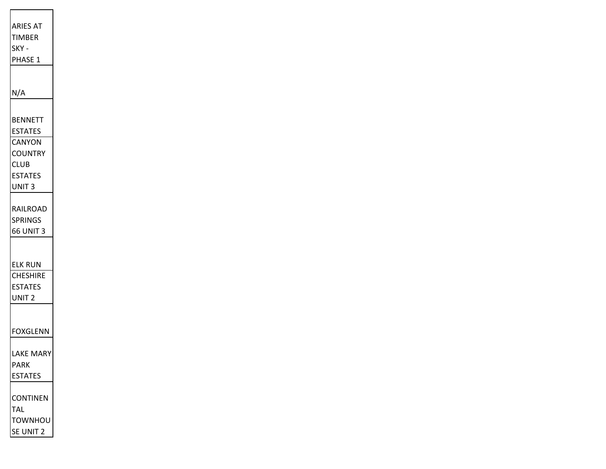| ARIES AT<br><b>TIMBER</b><br>SKY -<br>PHASE 1                    |                                         |
|------------------------------------------------------------------|-----------------------------------------|
| N/A                                                              |                                         |
| BENNETT<br>ESTATES<br>CANYON<br>CLUB<br><b>ESTATES</b><br>UNIT 3 | <b>COUNTRY</b>                          |
| SPRINGS<br>66 UNIT 3                                             | RAILROAD                                |
| <b>ELK RUN</b><br><b>CHESHIRE</b><br><b>ESTATES</b><br>UNIT 2    |                                         |
|                                                                  | FOXGLENN                                |
| PARK<br><b>STATES</b><br>F                                       | LAKE MARY                               |
| TAL                                                              | <b>CONTINEN</b><br>TOWNHOU<br>SE UNIT 2 |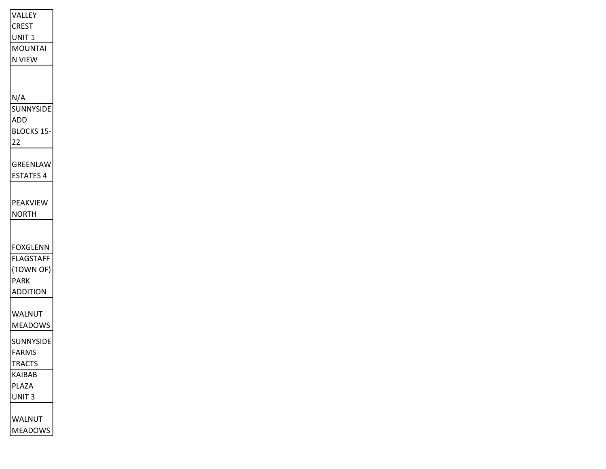| VALLEY            |  |
|-------------------|--|
| <b>CREST</b>      |  |
| UNIT <sub>1</sub> |  |
| <b>MOUNTAI</b>    |  |
| N VIEW            |  |
|                   |  |
|                   |  |
| N/A               |  |
| <b>SUNNYSIDE</b>  |  |
| <b>ADD</b>        |  |
| <b>BLOCKS 15-</b> |  |
| 22                |  |
|                   |  |
| GREENLAW          |  |
| <b>ESTATES 4</b>  |  |
|                   |  |
| PEAKVIEW          |  |
| NORTH             |  |
|                   |  |
|                   |  |
| <b>FOXGLENN</b>   |  |
| <b>FLAGSTAFF</b>  |  |
| (TOWN OF)         |  |
| <b>PARK</b>       |  |
| <b>ADDITION</b>   |  |
|                   |  |
| WALNUT            |  |
| <b>MEADOWS</b>    |  |
| SUNNYSIDE         |  |
| <b>FARMS</b>      |  |
| <b>TRACTS</b>     |  |
| KAIBAB            |  |
| PLAZA             |  |
| UNIT <sub>3</sub> |  |
|                   |  |
| WALNUT            |  |
| <b>MEADOWS</b>    |  |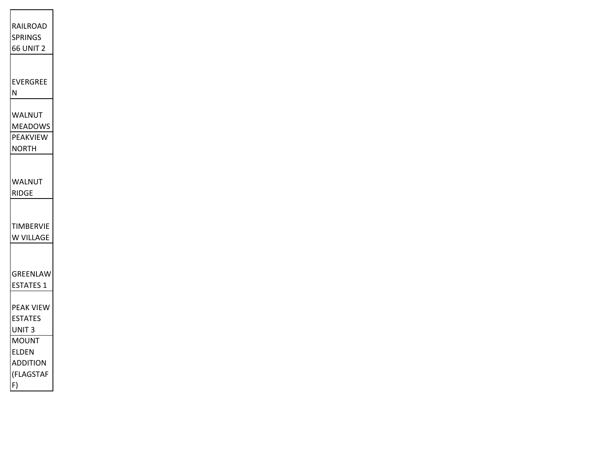| RAILROAD<br><b>SPRINGS</b><br>66 UNIT 2               |  |
|-------------------------------------------------------|--|
| EVERGREE<br>Ν                                         |  |
| WALNUT<br><b>MEADOWS</b><br>PEAKVIEW                  |  |
| NORTH<br>WALNUT                                       |  |
| RIDGE<br>TIMBERVIE                                    |  |
| W VILLAGE                                             |  |
| GREENLAW<br>ESTATES 1                                 |  |
| <b>PEAK VIEW</b><br><b>ESTATES</b><br>UNIT 3          |  |
| <b>MOUNT</b><br>ELDEN<br><b>ADDITION</b><br>(FLAGSTAF |  |
| F)                                                    |  |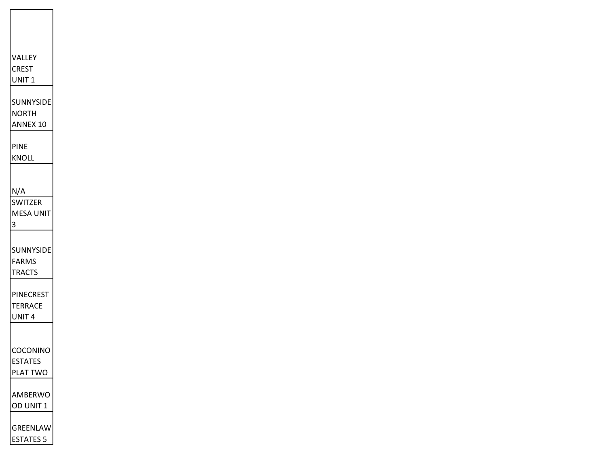| VALLEY<br>CREST<br>UNIT 1                      |  |
|------------------------------------------------|--|
| SUNNYSIDE<br>NORTH<br>ANNEX 10                 |  |
| PINE<br>KNOLL                                  |  |
| N/A<br><b>SWITZER</b><br><b>MESA UNIT</b><br>3 |  |
| <b>SUNNYSIDE</b><br>FARMS<br><b>TRACTS</b>     |  |
| PINECREST<br>TERRACE<br>UNIT <sub>4</sub>      |  |
| CONINO<br>LU<br><b>ESTATES</b><br>PLAT TWO     |  |
| AMBERWO<br>OD UNIT 1                           |  |
| GREENLAW<br><b>ESTATES 5</b>                   |  |